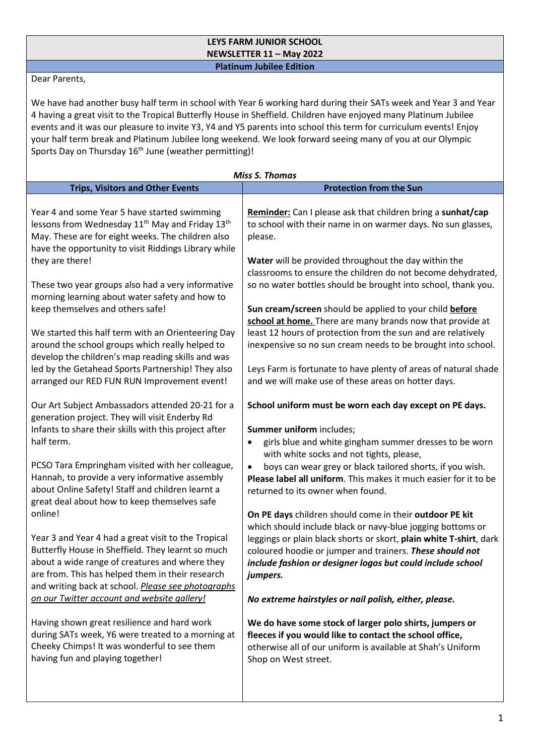## **LEYS FARM JUNIOR SCHOOL NEWSLETTER 11 – May 2022 Platinum Jubilee Edition**

Dear Parents,

We have had another busy half term in school with Year 6 working hard during their SATs week and Year 3 and Year 4 having a great visit to the Tropical Butterfly House in Sheffield. Children have enjoyed many Platinum Jubilee events and it was our pleasure to invite Y3, Y4 and Y5 parents into school this term for curriculum events! Enjoy your half term break and Platinum Jubilee long weekend. We look forward seeing many of you at our Olympic Sports Day on Thursday 16<sup>th</sup> June (weather permitting)!

| <b>Miss S. Thomas</b>                                                                                                                                                                                                                                                                                                                                                                                                                                                                                                                                                                                                                                                                                                                                                                                                                                                                                                                                                                                                                                                                                                                                                                                                                                                                                                                                                                                                                                                                                                                                                                |                                                                                                                                                                                                                                                                                                                                                                                                                                                                                                                                                                                                                                                                                                                                                                                                                                                                                                                                                                                                                                                                                                                                                                                                                                                                                                                                                                                                                                                                                                                                                                                                                                                                                                                  |
|--------------------------------------------------------------------------------------------------------------------------------------------------------------------------------------------------------------------------------------------------------------------------------------------------------------------------------------------------------------------------------------------------------------------------------------------------------------------------------------------------------------------------------------------------------------------------------------------------------------------------------------------------------------------------------------------------------------------------------------------------------------------------------------------------------------------------------------------------------------------------------------------------------------------------------------------------------------------------------------------------------------------------------------------------------------------------------------------------------------------------------------------------------------------------------------------------------------------------------------------------------------------------------------------------------------------------------------------------------------------------------------------------------------------------------------------------------------------------------------------------------------------------------------------------------------------------------------|------------------------------------------------------------------------------------------------------------------------------------------------------------------------------------------------------------------------------------------------------------------------------------------------------------------------------------------------------------------------------------------------------------------------------------------------------------------------------------------------------------------------------------------------------------------------------------------------------------------------------------------------------------------------------------------------------------------------------------------------------------------------------------------------------------------------------------------------------------------------------------------------------------------------------------------------------------------------------------------------------------------------------------------------------------------------------------------------------------------------------------------------------------------------------------------------------------------------------------------------------------------------------------------------------------------------------------------------------------------------------------------------------------------------------------------------------------------------------------------------------------------------------------------------------------------------------------------------------------------------------------------------------------------------------------------------------------------|
| <b>Trips, Visitors and Other Events</b>                                                                                                                                                                                                                                                                                                                                                                                                                                                                                                                                                                                                                                                                                                                                                                                                                                                                                                                                                                                                                                                                                                                                                                                                                                                                                                                                                                                                                                                                                                                                              | <b>Protection from the Sun</b>                                                                                                                                                                                                                                                                                                                                                                                                                                                                                                                                                                                                                                                                                                                                                                                                                                                                                                                                                                                                                                                                                                                                                                                                                                                                                                                                                                                                                                                                                                                                                                                                                                                                                   |
| Year 4 and some Year 5 have started swimming<br>lessons from Wednesday 11 <sup>th</sup> May and Friday 13 <sup>th</sup><br>May. These are for eight weeks. The children also<br>have the opportunity to visit Riddings Library while<br>they are there!<br>These two year groups also had a very informative<br>morning learning about water safety and how to<br>keep themselves and others safe!<br>We started this half term with an Orienteering Day<br>around the school groups which really helped to<br>develop the children's map reading skills and was<br>led by the Getahead Sports Partnership! They also<br>arranged our RED FUN RUN Improvement event!<br>Our Art Subject Ambassadors attended 20-21 for a<br>generation project. They will visit Enderby Rd<br>Infants to share their skills with this project after<br>half term.<br>PCSO Tara Empringham visited with her colleague,<br>Hannah, to provide a very informative assembly<br>about Online Safety! Staff and children learnt a<br>great deal about how to keep themselves safe<br>online!<br>Year 3 and Year 4 had a great visit to the Tropical<br>Butterfly House in Sheffield. They learnt so much<br>about a wide range of creatures and where they<br>are from. This has helped them in their research<br>and writing back at school. Please see photographs<br>on our Twitter account and website gallery!<br>Having shown great resilience and hard work<br>during SATs week, Y6 were treated to a morning at<br>Cheeky Chimps! It was wonderful to see them<br>having fun and playing together! | Reminder: Can I please ask that children bring a sunhat/cap<br>to school with their name in on warmer days. No sun glasses,<br>please.<br>Water will be provided throughout the day within the<br>classrooms to ensure the children do not become dehydrated,<br>so no water bottles should be brought into school, thank you.<br>Sun cream/screen should be applied to your child before<br>school at home. There are many brands now that provide at<br>least 12 hours of protection from the sun and are relatively<br>inexpensive so no sun cream needs to be brought into school.<br>Leys Farm is fortunate to have plenty of areas of natural shade<br>and we will make use of these areas on hotter days.<br>School uniform must be worn each day except on PE days.<br>Summer uniform includes;<br>girls blue and white gingham summer dresses to be worn<br>٠<br>with white socks and not tights, please,<br>boys can wear grey or black tailored shorts, if you wish.<br>$\bullet$<br>Please label all uniform. This makes it much easier for it to be<br>returned to its owner when found.<br>On PE days children should come in their outdoor PE kit<br>which should include black or navy-blue jogging bottoms or<br>leggings or plain black shorts or skort, plain white T-shirt, dark<br>coloured hoodie or jumper and trainers. These should not<br>include fashion or designer logos but could include school<br>jumpers.<br>No extreme hairstyles or nail polish, either, please.<br>We do have some stock of larger polo shirts, jumpers or<br>fleeces if you would like to contact the school office,<br>otherwise all of our uniform is available at Shah's Uniform<br>Shop on West street. |
|                                                                                                                                                                                                                                                                                                                                                                                                                                                                                                                                                                                                                                                                                                                                                                                                                                                                                                                                                                                                                                                                                                                                                                                                                                                                                                                                                                                                                                                                                                                                                                                      |                                                                                                                                                                                                                                                                                                                                                                                                                                                                                                                                                                                                                                                                                                                                                                                                                                                                                                                                                                                                                                                                                                                                                                                                                                                                                                                                                                                                                                                                                                                                                                                                                                                                                                                  |
|                                                                                                                                                                                                                                                                                                                                                                                                                                                                                                                                                                                                                                                                                                                                                                                                                                                                                                                                                                                                                                                                                                                                                                                                                                                                                                                                                                                                                                                                                                                                                                                      |                                                                                                                                                                                                                                                                                                                                                                                                                                                                                                                                                                                                                                                                                                                                                                                                                                                                                                                                                                                                                                                                                                                                                                                                                                                                                                                                                                                                                                                                                                                                                                                                                                                                                                                  |